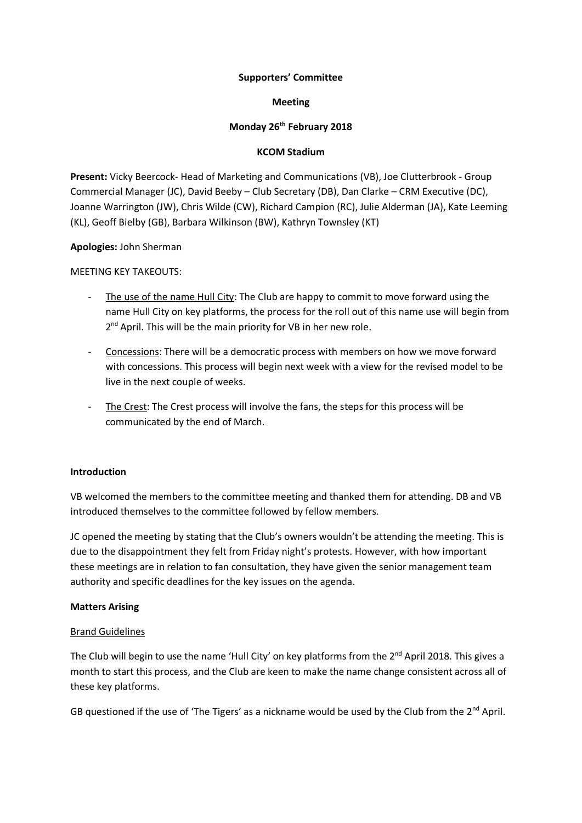# **Supporters' Committee**

# **Meeting**

# **Monday 26th February 2018**

# **KCOM Stadium**

**Present:** Vicky Beercock- Head of Marketing and Communications (VB), Joe Clutterbrook - Group Commercial Manager (JC), David Beeby – Club Secretary (DB), Dan Clarke – CRM Executive (DC), Joanne Warrington (JW), Chris Wilde (CW), Richard Campion (RC), Julie Alderman (JA), Kate Leeming (KL), Geoff Bielby (GB), Barbara Wilkinson (BW), Kathryn Townsley (KT)

# **Apologies:** John Sherman

MEETING KEY TAKEOUTS:

- The use of the name Hull City: The Club are happy to commit to move forward using the name Hull City on key platforms, the process for the roll out of this name use will begin from 2<sup>nd</sup> April. This will be the main priority for VB in her new role.
- Concessions: There will be a democratic process with members on how we move forward with concessions. This process will begin next week with a view for the revised model to be live in the next couple of weeks.
- The Crest: The Crest process will involve the fans, the steps for this process will be communicated by the end of March.

#### **Introduction**

VB welcomed the members to the committee meeting and thanked them for attending. DB and VB introduced themselves to the committee followed by fellow members.

JC opened the meeting by stating that the Club's owners wouldn't be attending the meeting. This is due to the disappointment they felt from Friday night's protests. However, with how important these meetings are in relation to fan consultation, they have given the senior management team authority and specific deadlines for the key issues on the agenda.

# **Matters Arising**

#### Brand Guidelines

The Club will begin to use the name 'Hull City' on key platforms from the 2<sup>nd</sup> April 2018. This gives a month to start this process, and the Club are keen to make the name change consistent across all of these key platforms.

GB questioned if the use of 'The Tigers' as a nickname would be used by the Club from the  $2^{nd}$  April.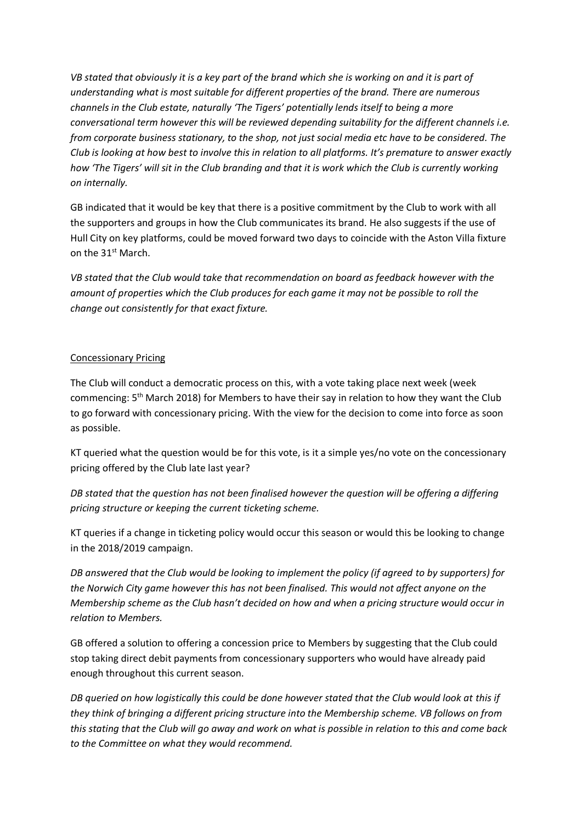*VB stated that obviously it is a key part of the brand which she is working on and it is part of understanding what is most suitable for different properties of the brand. There are numerous channels in the Club estate, naturally 'The Tigers' potentially lends itself to being a more conversational term however this will be reviewed depending suitability for the different channels i.e. from corporate business stationary, to the shop, not just social media etc have to be considered. The Club is looking at how best to involve this in relation to all platforms. It's premature to answer exactly how 'The Tigers' will sit in the Club branding and that it is work which the Club is currently working on internally.*

GB indicated that it would be key that there is a positive commitment by the Club to work with all the supporters and groups in how the Club communicates its brand. He also suggests if the use of Hull City on key platforms, could be moved forward two days to coincide with the Aston Villa fixture on the 31st March.

*VB stated that the Club would take that recommendation on board as feedback however with the amount of properties which the Club produces for each game it may not be possible to roll the change out consistently for that exact fixture.*

# Concessionary Pricing

The Club will conduct a democratic process on this, with a vote taking place next week (week commencing: 5<sup>th</sup> March 2018) for Members to have their say in relation to how they want the Club to go forward with concessionary pricing. With the view for the decision to come into force as soon as possible.

KT queried what the question would be for this vote, is it a simple yes/no vote on the concessionary pricing offered by the Club late last year?

*DB stated that the question has not been finalised however the question will be offering a differing pricing structure or keeping the current ticketing scheme.*

KT queries if a change in ticketing policy would occur this season or would this be looking to change in the 2018/2019 campaign.

*DB answered that the Club would be looking to implement the policy (if agreed to by supporters) for the Norwich City game however this has not been finalised. This would not affect anyone on the Membership scheme as the Club hasn't decided on how and when a pricing structure would occur in relation to Members.*

GB offered a solution to offering a concession price to Members by suggesting that the Club could stop taking direct debit payments from concessionary supporters who would have already paid enough throughout this current season.

*DB queried on how logistically this could be done however stated that the Club would look at this if they think of bringing a different pricing structure into the Membership scheme. VB follows on from this stating that the Club will go away and work on what is possible in relation to this and come back to the Committee on what they would recommend.*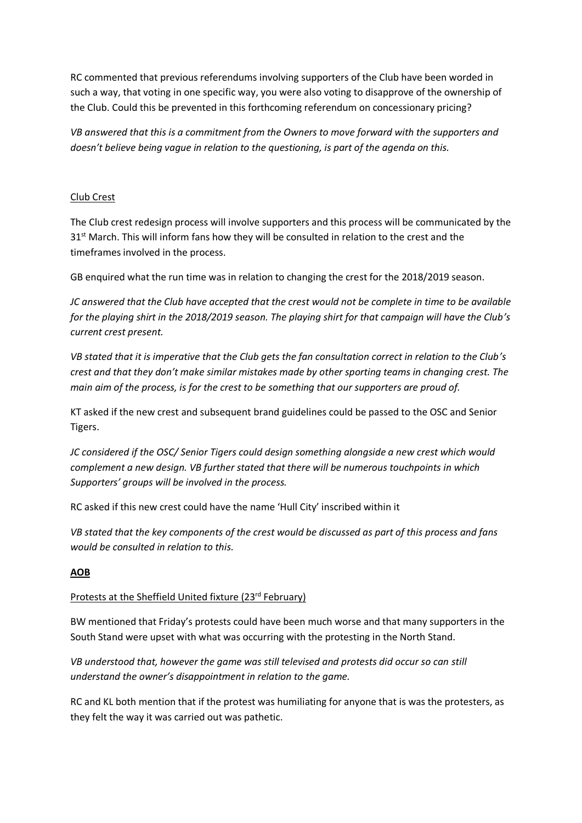RC commented that previous referendums involving supporters of the Club have been worded in such a way, that voting in one specific way, you were also voting to disapprove of the ownership of the Club. Could this be prevented in this forthcoming referendum on concessionary pricing?

*VB answered that this is a commitment from the Owners to move forward with the supporters and doesn't believe being vague in relation to the questioning, is part of the agenda on this.*

# Club Crest

The Club crest redesign process will involve supporters and this process will be communicated by the 31<sup>st</sup> March. This will inform fans how they will be consulted in relation to the crest and the timeframes involved in the process.

GB enquired what the run time was in relation to changing the crest for the 2018/2019 season.

*JC answered that the Club have accepted that the crest would not be complete in time to be available for the playing shirt in the 2018/2019 season. The playing shirt for that campaign will have the Club's current crest present.*

*VB stated that it is imperative that the Club gets the fan consultation correct in relation to the Club's crest and that they don't make similar mistakes made by other sporting teams in changing crest. The main aim of the process, is for the crest to be something that our supporters are proud of.*

KT asked if the new crest and subsequent brand guidelines could be passed to the OSC and Senior Tigers.

*JC considered if the OSC/ Senior Tigers could design something alongside a new crest which would complement a new design. VB further stated that there will be numerous touchpoints in which Supporters' groups will be involved in the process.* 

RC asked if this new crest could have the name 'Hull City' inscribed within it

*VB stated that the key components of the crest would be discussed as part of this process and fans would be consulted in relation to this.* 

# **AOB**

# Protests at the Sheffield United fixture (23rd February)

BW mentioned that Friday's protests could have been much worse and that many supporters in the South Stand were upset with what was occurring with the protesting in the North Stand.

*VB understood that, however the game was still televised and protests did occur so can still understand the owner's disappointment in relation to the game.*

RC and KL both mention that if the protest was humiliating for anyone that is was the protesters, as they felt the way it was carried out was pathetic.